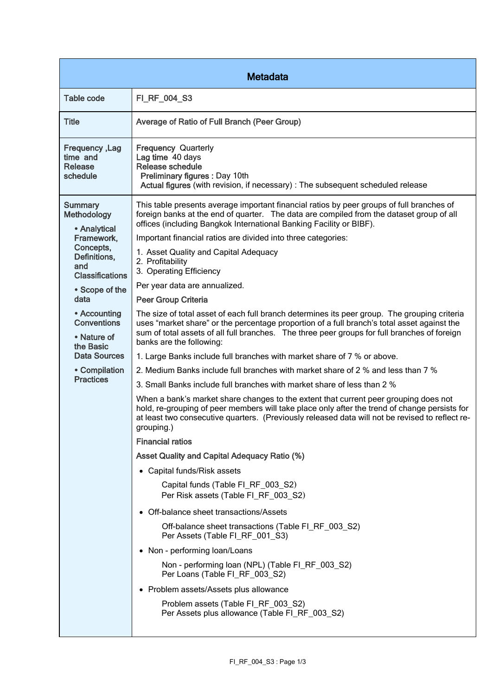| <b>Metadata</b>                                                                                                                                                                                                                                                            |                                                                                                                                                                                                                                                                                                                                                                                                                                                                                                                                                                                                                                                                                                                                                                                                                                                                                                                                                                                                                                                                                                                                                                                                                                                                                                                                                                                                                                                                                                                                                                                                                                                                                                                                                                                                                                                                   |  |
|----------------------------------------------------------------------------------------------------------------------------------------------------------------------------------------------------------------------------------------------------------------------------|-------------------------------------------------------------------------------------------------------------------------------------------------------------------------------------------------------------------------------------------------------------------------------------------------------------------------------------------------------------------------------------------------------------------------------------------------------------------------------------------------------------------------------------------------------------------------------------------------------------------------------------------------------------------------------------------------------------------------------------------------------------------------------------------------------------------------------------------------------------------------------------------------------------------------------------------------------------------------------------------------------------------------------------------------------------------------------------------------------------------------------------------------------------------------------------------------------------------------------------------------------------------------------------------------------------------------------------------------------------------------------------------------------------------------------------------------------------------------------------------------------------------------------------------------------------------------------------------------------------------------------------------------------------------------------------------------------------------------------------------------------------------------------------------------------------------------------------------------------------------|--|
| <b>Table code</b>                                                                                                                                                                                                                                                          | FI_RF_004_S3                                                                                                                                                                                                                                                                                                                                                                                                                                                                                                                                                                                                                                                                                                                                                                                                                                                                                                                                                                                                                                                                                                                                                                                                                                                                                                                                                                                                                                                                                                                                                                                                                                                                                                                                                                                                                                                      |  |
| <b>Title</b>                                                                                                                                                                                                                                                               | Average of Ratio of Full Branch (Peer Group)                                                                                                                                                                                                                                                                                                                                                                                                                                                                                                                                                                                                                                                                                                                                                                                                                                                                                                                                                                                                                                                                                                                                                                                                                                                                                                                                                                                                                                                                                                                                                                                                                                                                                                                                                                                                                      |  |
| <b>Frequency, Lag</b><br>time and<br><b>Release</b><br>schedule                                                                                                                                                                                                            | <b>Frequency Quarterly</b><br>Lag time 40 days<br><b>Release schedule</b><br>Preliminary figures : Day 10th<br>Actual figures (with revision, if necessary) : The subsequent scheduled release                                                                                                                                                                                                                                                                                                                                                                                                                                                                                                                                                                                                                                                                                                                                                                                                                                                                                                                                                                                                                                                                                                                                                                                                                                                                                                                                                                                                                                                                                                                                                                                                                                                                    |  |
| <b>Summary</b><br>Methodology<br>• Analytical<br>Framework,<br>Concepts,<br>Definitions,<br>and<br><b>Classifications</b><br>• Scope of the<br>data<br>• Accounting<br><b>Conventions</b><br>• Nature of<br>the Basic<br>Data Sources<br>• Compilation<br><b>Practices</b> | This table presents average important financial ratios by peer groups of full branches of<br>foreign banks at the end of quarter. The data are compiled from the dataset group of all<br>offices (including Bangkok International Banking Facility or BIBF).<br>Important financial ratios are divided into three categories:<br>1. Asset Quality and Capital Adequacy<br>2. Profitability<br>3. Operating Efficiency<br>Per year data are annualized.<br>Peer Group Criteria<br>The size of total asset of each full branch determines its peer group. The grouping criteria<br>uses "market share" or the percentage proportion of a full branch's total asset against the<br>sum of total assets of all full branches. The three peer groups for full branches of foreign<br>banks are the following:<br>1. Large Banks include full branches with market share of 7 % or above.<br>2. Medium Banks include full branches with market share of 2 % and less than 7 %<br>3. Small Banks include full branches with market share of less than 2 %<br>When a bank's market share changes to the extent that current peer grouping does not<br>hold, re-grouping of peer members will take place only after the trend of change persists for<br>at least two consecutive quarters. (Previously released data will not be revised to reflect re-<br>grouping.)<br><b>Financial ratios</b><br><b>Asset Quality and Capital Adequacy Ratio (%)</b><br>• Capital funds/Risk assets<br>Capital funds (Table FI_RF_003_S2)<br>Per Risk assets (Table FI_RF_003_S2)<br>• Off-balance sheet transactions/Assets<br>Off-balance sheet transactions (Table FI_RF_003_S2)<br>Per Assets (Table FI_RF_001_S3)<br>• Non - performing loan/Loans<br>Non - performing loan (NPL) (Table FI_RF_003_S2)<br>Per Loans (Table FI_RF_003_S2)<br>• Problem assets/Assets plus allowance |  |
|                                                                                                                                                                                                                                                                            | Problem assets (Table FI_RF_003_S2)<br>Per Assets plus allowance (Table FI_RF_003_S2)                                                                                                                                                                                                                                                                                                                                                                                                                                                                                                                                                                                                                                                                                                                                                                                                                                                                                                                                                                                                                                                                                                                                                                                                                                                                                                                                                                                                                                                                                                                                                                                                                                                                                                                                                                             |  |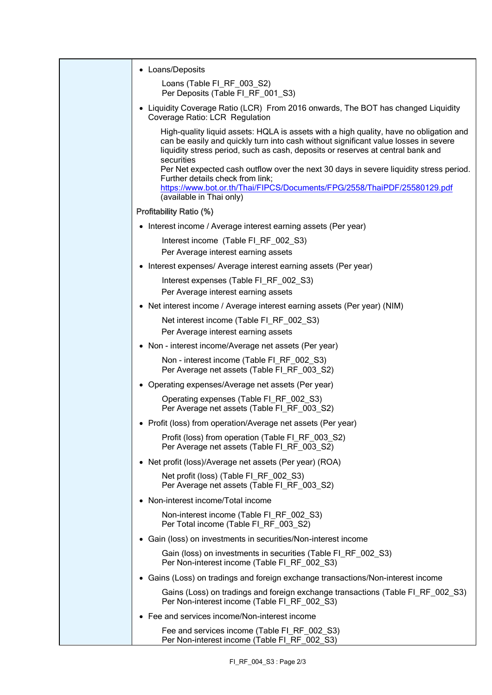| • Loans/Deposits                                                                                                                                                                                                                                                                                                                                                                                             |
|--------------------------------------------------------------------------------------------------------------------------------------------------------------------------------------------------------------------------------------------------------------------------------------------------------------------------------------------------------------------------------------------------------------|
| Loans (Table FI_RF_003_S2)<br>Per Deposits (Table FI RF 001 S3)                                                                                                                                                                                                                                                                                                                                              |
| • Liquidity Coverage Ratio (LCR) From 2016 onwards, The BOT has changed Liquidity<br>Coverage Ratio: LCR Regulation                                                                                                                                                                                                                                                                                          |
| High-quality liquid assets: HQLA is assets with a high quality, have no obligation and<br>can be easily and quickly turn into cash without significant value losses in severe<br>liquidity stress period, such as cash, deposits or reserves at central bank and<br>securities<br>Per Net expected cash outflow over the next 30 days in severe liquidity stress period.<br>Further details check from link; |
| https://www.bot.or.th/Thai/FIPCS/Documents/FPG/2558/ThaiPDF/25580129.pdf<br>(available in Thai only)                                                                                                                                                                                                                                                                                                         |
| <b>Profitability Ratio (%)</b>                                                                                                                                                                                                                                                                                                                                                                               |
| • Interest income / Average interest earning assets (Per year)                                                                                                                                                                                                                                                                                                                                               |
| Interest income (Table FI_RF_002_S3)                                                                                                                                                                                                                                                                                                                                                                         |
| Per Average interest earning assets                                                                                                                                                                                                                                                                                                                                                                          |
| • Interest expenses/ Average interest earning assets (Per year)                                                                                                                                                                                                                                                                                                                                              |
| Interest expenses (Table FI_RF_002_S3)<br>Per Average interest earning assets                                                                                                                                                                                                                                                                                                                                |
| • Net interest income / Average interest earning assets (Per year) (NIM)                                                                                                                                                                                                                                                                                                                                     |
| Net interest income (Table FI_RF_002_S3)                                                                                                                                                                                                                                                                                                                                                                     |
| Per Average interest earning assets                                                                                                                                                                                                                                                                                                                                                                          |
| • Non - interest income/Average net assets (Per year)                                                                                                                                                                                                                                                                                                                                                        |
| Non - interest income (Table FI_RF_002_S3)<br>Per Average net assets (Table FI_RF_003_S2)                                                                                                                                                                                                                                                                                                                    |
| • Operating expenses/Average net assets (Per year)                                                                                                                                                                                                                                                                                                                                                           |
| Operating expenses (Table FI_RF_002_S3)<br>Per Average net assets (Table FI_RF_003_S2)                                                                                                                                                                                                                                                                                                                       |
| • Profit (loss) from operation/Average net assets (Per year)                                                                                                                                                                                                                                                                                                                                                 |
| Profit (loss) from operation (Table FI_RF_003_S2)<br>Per Average net assets (Table FI_RF_003_S2)                                                                                                                                                                                                                                                                                                             |
| • Net profit (loss)/Average net assets (Per year) (ROA)                                                                                                                                                                                                                                                                                                                                                      |
| Net profit (loss) (Table FI_RF_002_S3)<br>Per Average net assets (Table FI_RF_003_S2)                                                                                                                                                                                                                                                                                                                        |
| • Non-interest income/Total income                                                                                                                                                                                                                                                                                                                                                                           |
| Non-interest income (Table FI_RF_002_S3)<br>Per Total income (Table FI_RF_003_S2)                                                                                                                                                                                                                                                                                                                            |
| • Gain (loss) on investments in securities/Non-interest income                                                                                                                                                                                                                                                                                                                                               |
| Gain (loss) on investments in securities (Table FI_RF_002_S3)<br>Per Non-interest income (Table FI_RF_002_S3)                                                                                                                                                                                                                                                                                                |
| • Gains (Loss) on tradings and foreign exchange transactions/Non-interest income                                                                                                                                                                                                                                                                                                                             |
| Gains (Loss) on tradings and foreign exchange transactions (Table FI_RF_002_S3)<br>Per Non-interest income (Table FI RF 002 S3)                                                                                                                                                                                                                                                                              |
| • Fee and services income/Non-interest income                                                                                                                                                                                                                                                                                                                                                                |
| Fee and services income (Table FI_RF_002_S3)<br>Per Non-interest income (Table FI_RF_002_S3)                                                                                                                                                                                                                                                                                                                 |